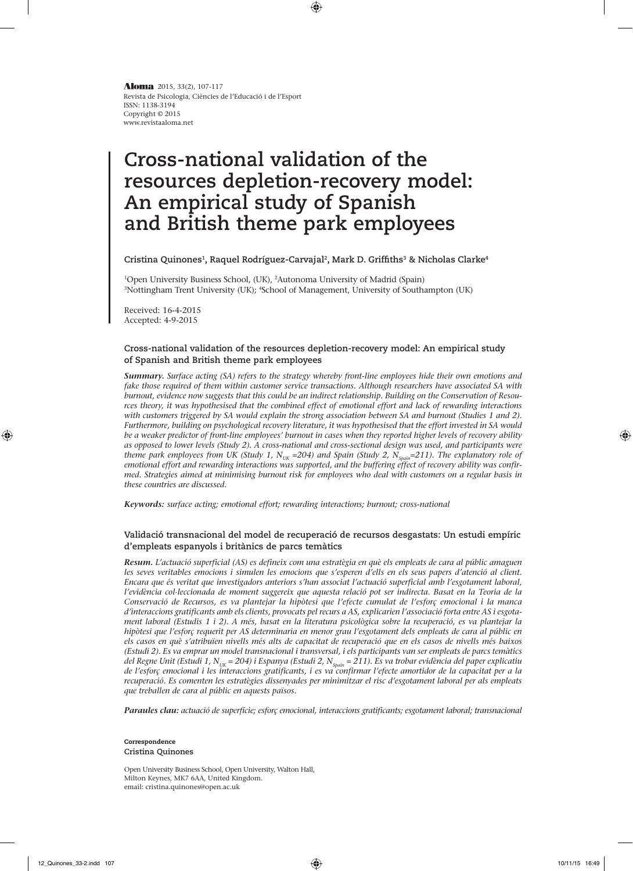Revista de Psicologia, Ciències de l'Educació i de l'Esport ISSN: 1138-3194 Copyright © 2015 www.revistaaloma.net **Aloma** 2015, 33(2), 107-117

# **Cross-national validation of the resources depletion-recovery model: An empirical study of Spanish and British theme park employees**

⊕

Cristina Quinones<sup>1</sup>, Raquel Rodríguez-Carvajal<sup>2</sup>, Mark D. Griffiths<sup>3</sup> & Nicholas Clarke<sup>4</sup>

1 Open University Business School, (UK), 2 Autonoma University of Madrid (Spain) 3 Nottingham Trent University (UK); 4 School of Management, University of Southampton (UK)

Received: 16-4-2015 Accepted: 4-9-2015

## **Cross-national validation of the resources depletion-recovery model: An empirical study of Spanish and British theme park employees**

*Summary. Surface acting (SA) refers to the strategy whereby front-line employees hide their own emotions and fake those required of them within customer service transactions. Although researchers have associated SA with burnout, evidence now suggests that this could be an indirect relationship. Building on the Conservation of Resources theory, it was hypothesised that the combined effect of emotional effort and lack of rewarding interactions*  with customers triggered by SA would explain the strong association between SA and burnout (Studies 1 and 2). *Furthermore, building on psychological recovery literature, it was hypothesised that the effort invested in SA would be a weaker predictor of front-line employees' burnout in cases when they reported higher levels of recovery ability as opposed to lower levels (Study 2). A cross-national and cross-sectional design was used, and participants were*  theme park employees from UK (Study 1, N<sub>UK</sub> =204) and Spain (Study 2, N<sub>Spain</sub>=211). The explanatory role of *emotional effort and rewarding interactions was supported, and the buffering effect of recovery ability was confirmed. Strategies aimed at minimising burnout risk for employees who deal with customers on a regular basis in these countries are discussed.*

*Keywords: surface acting; emotional effort; rewarding interactions; burnout; cross-national*

## **Validació transnacional del model de recuperació de recursos desgastats: Un estudi empíric d'empleats espanyols i britànics de parcs temàtics**

*Resum. L'actuació superficial (AS) es defineix com una estratègia en què els empleats de cara al públic amaguen*  les seves veritables emocions i simulen les emocions que s'esperen d'ells en els seus papers d'atenció al client. *Encara que és veritat que investigadors anteriors s'han associat l'actuació superficial amb l'esgotament laboral, l'evidència col·leccionada de moment suggereix que aquesta relació pot ser indirecta. Basat en la Teoria de la Conservació de Recursos, es va plantejar la hipòtesi que l'efecte cumulat de l'esforç emocional i la manca d'interaccions gratificants amb els clients, provocats pel recurs a AS, explicarien l'associació forta entre AS i esgotament laboral (Estudis 1 i 2). A més, basat en la literatura psicològica sobre la recuperació, es va plantejar la hipòtesi que l'esforç requerit per AS determinaria en menor grau l'esgotament dels empleats de cara al públic en els casos en què s'atribuïen nivells més alts de capacitat de recuperació que en els casos de nivells més baixos (Estudi 2). Es va emprar un model transnacional i transversal, i els participants van ser empleats de parcs temàtics*  del Regne Unit (Estudi 1, N<sub>uk</sub> = 204) i Espanya (Estudi 2, N<sub>spain</sub> = 211). Es va trobar evidència del paper explicatiu *de l'esforç emocional i les interaccions gratificants, i es va confirmar l'efecte amortidor de la capacitat per a la recuperació. Es comenten les estratègies dissenyades per minimitzar el risc d'esgotament laboral per als empleats que treballen de cara al públic en aquests països.*

*Paraules clau: actuació de superfície; esforç emocional, interaccions gratificants; esgotament laboral; transnacional*

#### Correspondence **Cristina Quinones**

Open University Business School, Open University, Walton Hall, Milton Keynes, MK7 6AA, United Kingdom. email: cristina.quinones@open.ac.uk

◈

⊕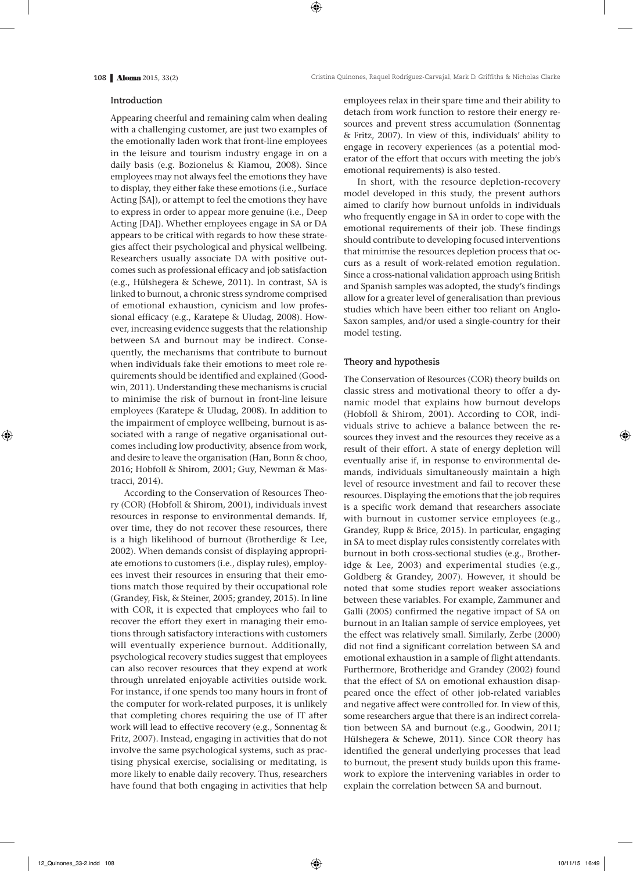#### **Introduction**

Appearing cheerful and remaining calm when dealing with a challenging customer, are just two examples of the emotionally laden work that front-line employees in the leisure and tourism industry engage in on a daily basis (e.g. Bozionelus & Kiamou, 2008). Since employees may not always feel the emotions they have to display, they either fake these emotions (i.e., Surface Acting [SA]), or attempt to feel the emotions they have to express in order to appear more genuine (i.e., Deep Acting [DA]). Whether employees engage in SA or DA appears to be critical with regards to how these strategies affect their psychological and physical wellbeing. Researchers usually associate DA with positive outcomes such as professional efficacy and job satisfaction (e.g., Hülshegera & Schewe, 2011). In contrast, SA is linked to burnout, a chronic stress syndrome comprised of emotional exhaustion, cynicism and low professional efficacy (e.g., Karatepe & Uludag, 2008). However, increasing evidence suggests that the relationship between SA and burnout may be indirect. Consequently, the mechanisms that contribute to burnout when individuals fake their emotions to meet role requirements should be identified and explained (Goodwin, 2011). Understanding these mechanisms is crucial to minimise the risk of burnout in front-line leisure employees (Karatepe & Uludag, 2008). In addition to the impairment of employee wellbeing, burnout is associated with a range of negative organisational outcomes including low productivity, absence from work, and desire to leave the organisation (Han, Bonn & choo, 2016; Hobfoll & Shirom, 2001; Guy, Newman & Mastracci, 2014).

According to the Conservation of Resources Theory (COR) (Hobfoll & Shirom, 2001), individuals invest resources in response to environmental demands. If, over time, they do not recover these resources, there is a high likelihood of burnout (Brotherdige & Lee, 2002). When demands consist of displaying appropriate emotions to customers (i.e., display rules), employees invest their resources in ensuring that their emotions match those required by their occupational role (Grandey, Fisk, & Steiner, 2005; grandey, 2015). In line with COR, it is expected that employees who fail to recover the effort they exert in managing their emotions through satisfactory interactions with customers will eventually experience burnout. Additionally, psychological recovery studies suggest that employees can also recover resources that they expend at work through unrelated enjoyable activities outside work. For instance, if one spends too many hours in front of the computer for work-related purposes, it is unlikely that completing chores requiring the use of IT after work will lead to effective recovery (e.g., Sonnentag & Fritz, 2007). Instead, engaging in activities that do not involve the same psychological systems, such as practising physical exercise, socialising or meditating, is more likely to enable daily recovery. Thus, researchers have found that both engaging in activities that help employees relax in their spare time and their ability to detach from work function to restore their energy resources and prevent stress accumulation (Sonnentag & Fritz, 2007). In view of this, individuals' ability to engage in recovery experiences (as a potential moderator of the effort that occurs with meeting the job's emotional requirements) is also tested.

In short, with the resource depletion-recovery model developed in this study, the present authors aimed to clarify how burnout unfolds in individuals who frequently engage in SA in order to cope with the emotional requirements of their job. These findings should contribute to developing focused interventions that minimise the resources depletion process that occurs as a result of work-related emotion regulation**.**  Since a cross-national validation approach using British and Spanish samples was adopted, the study's findings allow for a greater level of generalisation than previous studies which have been either too reliant on Anglo-Saxon samples, and/or used a single-country for their model testing.

### **Theory and hypothesis**

The Conservation of Resources (COR) theory builds on classic stress and motivational theory to offer a dynamic model that explains how burnout develops (Hobfoll & Shirom, 2001). According to COR, individuals strive to achieve a balance between the resources they invest and the resources they receive as a result of their effort. A state of energy depletion will eventually arise if, in response to environmental demands, individuals simultaneously maintain a high level of resource investment and fail to recover these resources. Displaying the emotions that the job requires is a specific work demand that researchers associate with burnout in customer service employees (e.g., Grandey, Rupp & Brice, 2015). In particular, engaging in SA to meet display rules consistently correlates with burnout in both cross-sectional studies (e.g., Brotheridge & Lee, 2003) and experimental studies (e.g., Goldberg & Grandey, 2007). However, it should be noted that some studies report weaker associations between these variables. For example, Zammuner and Galli (2005) confirmed the negative impact of SA on burnout in an Italian sample of service employees, yet the effect was relatively small. Similarly, Zerbe (2000) did not find a significant correlation between SA and emotional exhaustion in a sample of flight attendants. Furthermore, Brotheridge and Grandey (2002) found that the effect of SA on emotional exhaustion disappeared once the effect of other job-related variables and negative affect were controlled for. In view of this, some researchers argue that there is an indirect correlation between SA and burnout (e.g., Goodwin, 2011; Hülshegera & Schewe, 2011). Since COR theory has identified the general underlying processes that lead to burnout, the present study builds upon this framework to explore the intervening variables in order to explain the correlation between SA and burnout.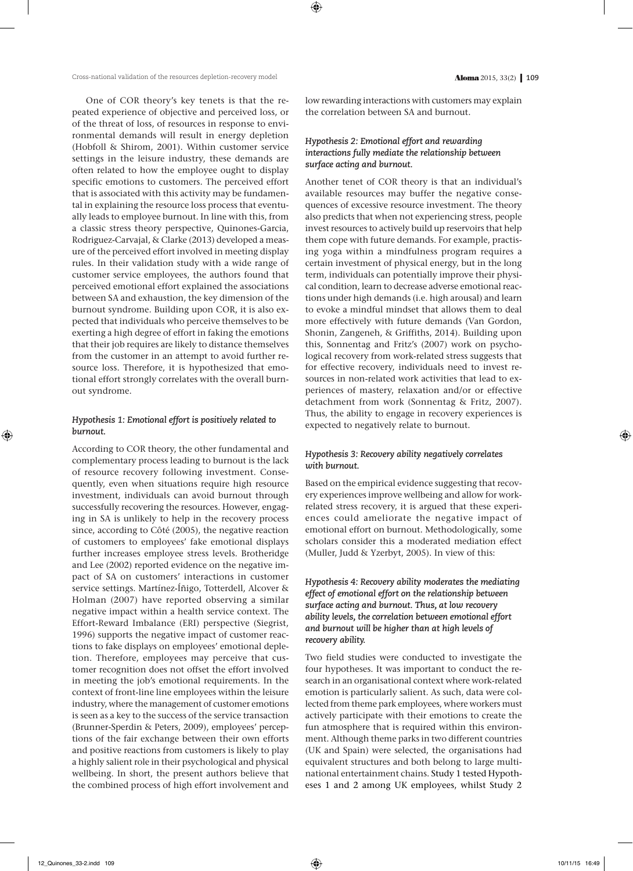One of COR theory's key tenets is that the repeated experience of objective and perceived loss, or of the threat of loss, of resources in response to environmental demands will result in energy depletion (Hobfoll & Shirom, 2001). Within customer service settings in the leisure industry, these demands are often related to how the employee ought to display specific emotions to customers. The perceived effort that is associated with this activity may be fundamental in explaining the resource loss process that eventually leads to employee burnout. In line with this, from a classic stress theory perspective, Quinones-Garcia, Rodriguez-Carvajal, & Clarke (2013) developed a measure of the perceived effort involved in meeting display rules. In their validation study with a wide range of customer service employees, the authors found that perceived emotional effort explained the associations between SA and exhaustion, the key dimension of the burnout syndrome. Building upon COR, it is also expected that individuals who perceive themselves to be exerting a high degree of effort in faking the emotions that their job requires are likely to distance themselves from the customer in an attempt to avoid further resource loss. Therefore, it is hypothesized that emotional effort strongly correlates with the overall burnout syndrome.

# *Hypothesis 1: Emotional effort is positively related to burnout.*

According to COR theory, the other fundamental and complementary process leading to burnout is the lack of resource recovery following investment. Consequently, even when situations require high resource investment, individuals can avoid burnout through successfully recovering the resources. However, engaging in SA is unlikely to help in the recovery process since, according to Côté (2005), the negative reaction of customers to employees' fake emotional displays further increases employee stress levels. Brotheridge and Lee (2002) reported evidence on the negative impact of SA on customers' interactions in customer service settings. Martínez-Íñigo, Totterdell, Alcover & Holman (2007) have reported observing a similar negative impact within a health service context. The Effort-Reward Imbalance (ERI) perspective (Siegrist, 1996) supports the negative impact of customer reactions to fake displays on employees' emotional depletion. Therefore, employees may perceive that customer recognition does not offset the effort involved in meeting the job's emotional requirements. In the context of front-line line employees within the leisure industry, where the management of customer emotions is seen as a key to the success of the service transaction (Brunner-Sperdin & Peters, 2009), employees' perceptions of the fair exchange between their own efforts and positive reactions from customers is likely to play a highly salient role in their psychological and physical wellbeing. In short, the present authors believe that the combined process of high effort involvement and low rewarding interactions with customers may explain the correlation between SA and burnout.

# *Hypothesis 2: Emotional effort and rewarding interactions fully mediate the relationship between surface acting and burnout.*

Another tenet of COR theory is that an individual's available resources may buffer the negative consequences of excessive resource investment. The theory also predicts that when not experiencing stress, people invest resources to actively build up reservoirs that help them cope with future demands. For example, practising yoga within a mindfulness program requires a certain investment of physical energy, but in the long term, individuals can potentially improve their physical condition, learn to decrease adverse emotional reactions under high demands (i.e. high arousal) and learn to evoke a mindful mindset that allows them to deal more effectively with future demands (Van Gordon, Shonin, Zangeneh, & Griffiths, 2014). Building upon this, Sonnentag and Fritz's (2007) work on psychological recovery from work-related stress suggests that for effective recovery, individuals need to invest resources in non-related work activities that lead to experiences of mastery, relaxation and/or or effective detachment from work (Sonnentag & Fritz, 2007). Thus, the ability to engage in recovery experiences is expected to negatively relate to burnout.

## *Hypothesis 3: Recovery ability negatively correlates with burnout.*

Based on the empirical evidence suggesting that recovery experiences improve wellbeing and allow for workrelated stress recovery, it is argued that these experiences could ameliorate the negative impact of emotional effort on burnout. Methodologically, some scholars consider this a moderated mediation effect (Muller, Judd & Yzerbyt, 2005). In view of this:

*Hypothesis 4: Recovery ability moderates the mediating effect of emotional effort on the relationship between surface acting and burnout. Thus, at low recovery ability levels, the correlation between emotional effort and burnout will be higher than at high levels of recovery ability.*

Two field studies were conducted to investigate the four hypotheses. It was important to conduct the research in an organisational context where work-related emotion is particularly salient. As such, data were collected from theme park employees, where workers must actively participate with their emotions to create the fun atmosphere that is required within this environment. Although theme parks in two different countries (UK and Spain) were selected, the organisations had equivalent structures and both belong to large multinational entertainment chains. Study 1 tested Hypotheses 1 and 2 among UK employees, whilst Study 2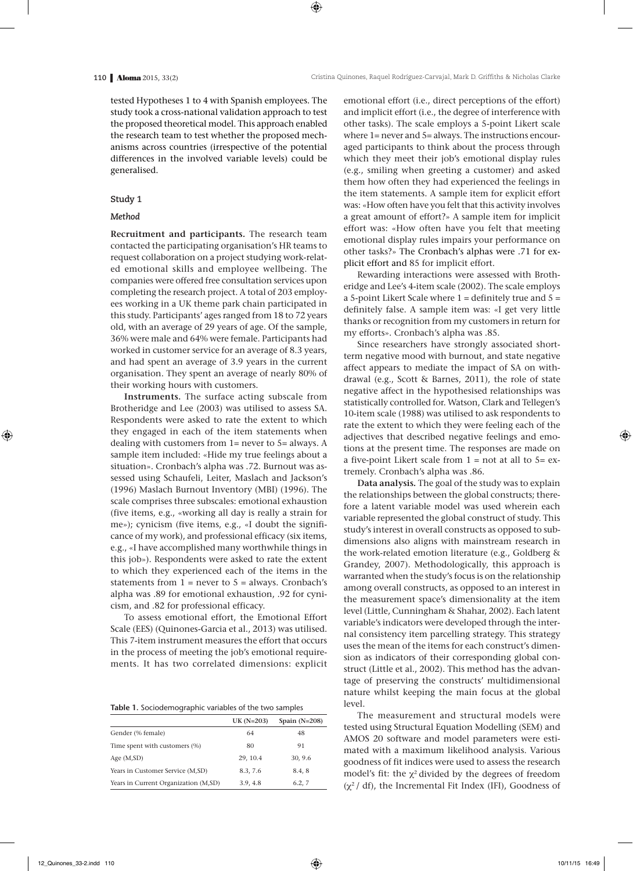tested Hypotheses 1 to 4 with Spanish employees. The study took a cross-national validation approach to test the proposed theoretical model. This approach enabled the research team to test whether the proposed mechanisms across countries (irrespective of the potential differences in the involved variable levels) could be generalised.

## **Study 1**

#### *Method*

**Recruitment and participants***.* The research team contacted the participating organisation's HR teams to request collaboration on a project studying work-related emotional skills and employee wellbeing. The companies were offered free consultation services upon completing the research project. A total of 203 employees working in a UK theme park chain participated in this study. Participants' ages ranged from 18 to 72 years old, with an average of 29 years of age. Of the sample, 36% were male and 64% were female. Participants had worked in customer service for an average of 8.3 years, and had spent an average of 3.9 years in the current organisation. They spent an average of nearly 80% of their working hours with customers.

**Instruments.** The surface acting subscale from Brotheridge and Lee (2003) was utilised to assess SA. Respondents were asked to rate the extent to which they engaged in each of the item statements when dealing with customers from 1= never to 5= always. A sample item included: «Hide my true feelings about a situation». Cronbach's alpha was .72. Burnout was assessed using Schaufeli, Leiter, Maslach and Jackson's (1996) Maslach Burnout Inventory (MBI) (1996). The scale comprises three subscales: emotional exhaustion (five items, e.g., «working all day is really a strain for me»); cynicism (five items, e.g., «I doubt the significance of my work), and professional efficacy (six items, e.g., «I have accomplished many worthwhile things in this job»). Respondents were asked to rate the extent to which they experienced each of the items in the statements from  $1 =$  never to  $5 =$  always. Cronbach's alpha was .89 for emotional exhaustion, .92 for cynicism, and .82 for professional efficacy.

To assess emotional effort, the Emotional Effort Scale (EES) (Quinones-Garcia et al., 2013) was utilised. This 7-item instrument measures the effort that occurs in the process of meeting the job's emotional requirements. It has two correlated dimensions: explicit

**Table 1.** Sociodemographic variables of the two samples

|                                      | $UK(N=203)$ | Spain $(N=208)$ |
|--------------------------------------|-------------|-----------------|
| Gender (% female)                    | 64          | 48              |
| Time spent with customers (%)        | 80          | 91              |
| Age $(M, SD)$                        | 29, 10.4    | 30, 9.6         |
| Years in Customer Service (M,SD)     | 8.3, 7.6    | 8.4, 8          |
| Years in Current Organization (M,SD) | 3.9, 4.8    | 6.2.7           |

emotional effort (i.e., direct perceptions of the effort) and implicit effort (i.e., the degree of interference with other tasks). The scale employs a 5-point Likert scale where 1= never and 5= always. The instructions encouraged participants to think about the process through which they meet their job's emotional display rules (e.g., smiling when greeting a customer) and asked them how often they had experienced the feelings in the item statements. A sample item for explicit effort was: «How often have you felt that this activity involves a great amount of effort?» A sample item for implicit effort was: «How often have you felt that meeting emotional display rules impairs your performance on other tasks?» The Cronbach's alphas were .71 for explicit effort and 85 for implicit effort.

Rewarding interactions were assessed with Brotheridge and Lee's 4-item scale (2002). The scale employs a 5-point Likert Scale where  $1 =$  definitely true and  $5 =$ definitely false. A sample item was: «I get very little thanks or recognition from my customers in return for my efforts». Cronbach's alpha was .85.

Since researchers have strongly associated shortterm negative mood with burnout, and state negative affect appears to mediate the impact of SA on withdrawal (e.g., Scott & Barnes, 2011), the role of state negative affect in the hypothesised relationships was statistically controlled for. Watson, Clark and Tellegen's 10-item scale (1988) was utilised to ask respondents to rate the extent to which they were feeling each of the adjectives that described negative feelings and emotions at the present time. The responses are made on a five-point Likert scale from  $1 = not$  at all to  $5 = ex$ tremely. Cronbach's alpha was .86.

**Data analysis***.* The goal of the study was to explain the relationships between the global constructs; therefore a latent variable model was used wherein each variable represented the global construct of study. This study's interest in overall constructs as opposed to subdimensions also aligns with mainstream research in the work-related emotion literature (e.g., Goldberg & Grandey, 2007). Methodologically, this approach is warranted when the study's focus is on the relationship among overall constructs, as opposed to an interest in the measurement space's dimensionality at the item level (Little, Cunningham & Shahar, 2002). Each latent variable's indicators were developed through the internal consistency item parcelling strategy. This strategy uses the mean of the items for each construct's dimension as indicators of their corresponding global construct (Little et al., 2002). This method has the advantage of preserving the constructs' multidimensional nature whilst keeping the main focus at the global level.

The measurement and structural models were tested using Structural Equation Modelling (SEM) and AMOS 20 software and model parameters were estimated with a maximum likelihood analysis. Various goodness of fit indices were used to assess the research model's fit: the  $\chi^2$  divided by the degrees of freedom  $(\chi^2$  / df), the Incremental Fit Index (IFI), Goodness of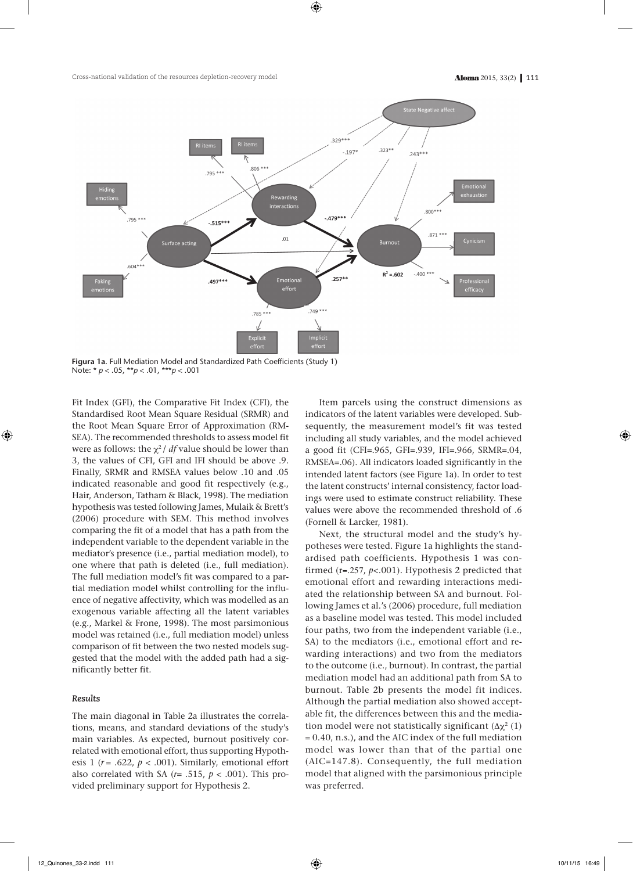

**Figura 1a.** Full Mediation Model and Standardized Path Coefficients (Study 1) Note: \* *p* < .05, \*\**p* < .01, \*\*\**p* < .001

Fit Index (GFI), the Comparative Fit Index (CFI), the Standardised Root Mean Square Residual (SRMR) and the Root Mean Square Error of Approximation (RM-SEA). The recommended thresholds to assess model fit were as follows: the  $\chi^2$  / *df* value should be lower than 3, the values of CFI, GFI and IFI should be above .9. Finally, SRMR and RMSEA values below .10 and .05 indicated reasonable and good fit respectively (e.g., Hair, Anderson, Tatham & Black, 1998). The mediation hypothesis was tested following James, Mulaik & Brett's (2006) procedure with SEM. This method involves comparing the fit of a model that has a path from the independent variable to the dependent variable in the mediator's presence (i.e., partial mediation model), to one where that path is deleted (i.e., full mediation). The full mediation model's fit was compared to a partial mediation model whilst controlling for the influence of negative affectivity, which was modelled as an exogenous variable affecting all the latent variables (e.g., Markel & Frone, 1998). The most parsimonious model was retained (i.e., full mediation model) unless comparison of fit between the two nested models suggested that the model with the added path had a significantly better fit.

## *Results*

The main diagonal in Table 2a illustrates the correlations, means, and standard deviations of the study's main variables. As expected, burnout positively correlated with emotional effort, thus supporting Hypothesis 1 ( $r = .622$ ,  $p < .001$ ). Similarly, emotional effort also correlated with SA  $(r = .515, p < .001)$ . This provided preliminary support for Hypothesis 2.

Item parcels using the construct dimensions as indicators of the latent variables were developed. Subsequently, the measurement model's fit was tested including all study variables, and the model achieved a good fit (CFI=.965, GFI=.939, IFI=.966, SRMR=.04, RMSEA=.06). All indicators loaded significantly in the intended latent factors (see Figure 1a). In order to test the latent constructs' internal consistency, factor loadings were used to estimate construct reliability. These values were above the recommended threshold of .6 (Fornell & Larcker, 1981).

Next, the structural model and the study's hypotheses were tested. Figure 1a highlights the standardised path coefficients. Hypothesis 1 was confirmed (r=.257, *p*<.001). Hypothesis 2 predicted that emotional effort and rewarding interactions mediated the relationship between SA and burnout. Following James et al.'s (2006) procedure, full mediation as a baseline model was tested. This model included four paths, two from the independent variable (i.e., SA) to the mediators (i.e., emotional effort and rewarding interactions) and two from the mediators to the outcome (i.e., burnout). In contrast, the partial mediation model had an additional path from SA to burnout. Table 2b presents the model fit indices. Although the partial mediation also showed acceptable fit, the differences between this and the mediation model were not statistically significant  $(\Delta \chi^2 (1))$ = 0.40, n.s.), and the AIC index of the full mediation model was lower than that of the partial one (AIC=147.8). Consequently, the full mediation model that aligned with the parsimonious principle was preferred.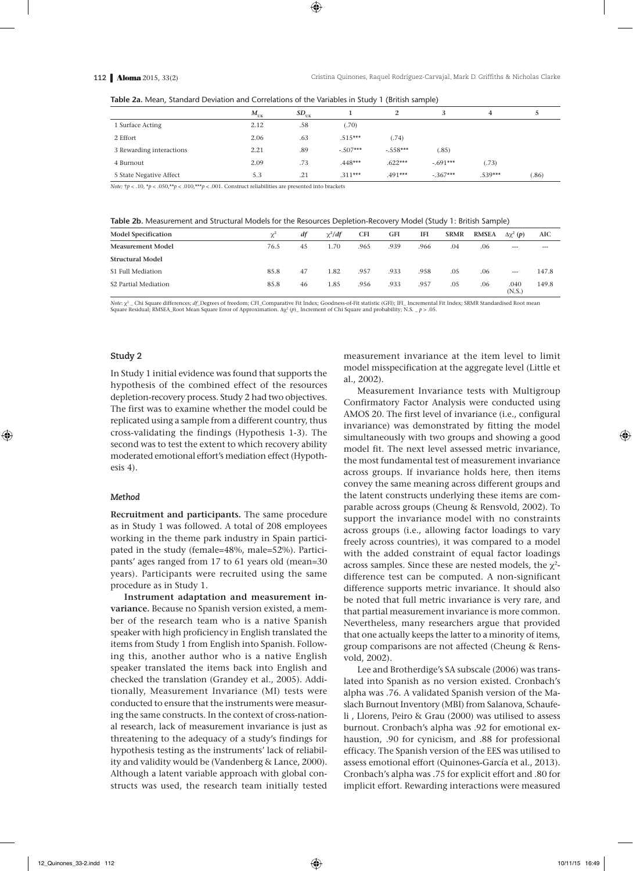| Table 2a. Mean, Standard Deviation and Correlations of the Variables in Study 1 (British sample) |  |  |  |
|--------------------------------------------------------------------------------------------------|--|--|--|
|--------------------------------------------------------------------------------------------------|--|--|--|

|                          | $M_{\rm UK}$ | $SD_{UK}$ |            |            |            | 4         |       |
|--------------------------|--------------|-----------|------------|------------|------------|-----------|-------|
| 1 Surface Acting         | 2.12         | .58       | (.70)      |            |            |           |       |
| 2 Effort                 | 2.06         | .63       | $.515***$  | (.74)      |            |           |       |
| 3 Rewarding interactions | 2.21         | .89       | $-.507***$ | $-.558***$ | (.85)      |           |       |
| 4 Burnout                | 2.09         | .73       | $.448***$  | $.622***$  | $-.691***$ | (.73)     |       |
| 5 State Negative Affect  | 5.3          | .21       | $.311***$  | $.491***$  | $-.367***$ | $.539***$ | (.86) |

*Note:*  $\uparrow p$  < .10,  $\uparrow p$  < .050, $\uparrow \uparrow p$  < .010, $\uparrow \uparrow \uparrow p$  < .001. Construct reliabilities are presented into brackets

**Table 2b.** Measurement and Structural Models for the Resources Depletion-Recovery Model (Study 1: British Sample)

| <b>Model Specification</b> | $\mathcal{V}^2$ | df | $\chi^2/df$ | <b>CFI</b> | GFI  | IFI  | <b>SRMR</b> | <b>RMSEA</b> | $\Delta\chi^2(p)$ | AIC     |
|----------------------------|-----------------|----|-------------|------------|------|------|-------------|--------------|-------------------|---------|
| <b>Measurement Model</b>   | 76.5            | 45 | 1.70        | .965       | .939 | .966 | .04         | .06          | $- - -$           | $- - -$ |
| <b>Structural Model</b>    |                 |    |             |            |      |      |             |              |                   |         |
| S1 Full Mediation          | 85.8            | 47 | 1.82        | .957       | .933 | .958 | .05         | .06          | $\sim$            | 147.8   |
| S2 Partial Mediation       | 85.8            | 46 | 1.85        | .956       | .933 | .957 | .05         | .06          | .040<br>(N.S.)    | 149.8   |

*Note*:  $x^2$  Chi Square differences; *df* Degrees of freedom; CFI\_Comparative Fit Index; Goodness-of-Fit statistic (GFI); IFI\_ Incremental Fit Index; SRMR Standardised Root mean Square Residual; RMSEA\_Root Mean Square Error of Approximation. ∆c2 (*p*)\_ Increment of Chi Square and probability; N.S. \_ *p* > .05.

#### **Study 2**

In Study 1 initial evidence was found that supports the hypothesis of the combined effect of the resources depletion-recovery process. Study 2 had two objectives. The first was to examine whether the model could be replicated using a sample from a different country, thus cross-validating the findings (Hypothesis 1-3). The second was to test the extent to which recovery ability moderated emotional effort's mediation effect (Hypothesis 4).

#### *Method*

**Recruitment and participants***.* The same procedure as in Study 1 was followed. A total of 208 employees working in the theme park industry in Spain participated in the study (female=48%, male=52%). Participants' ages ranged from 17 to 61 years old (mean=30 years). Participants were recruited using the same procedure as in Study 1.

**Instrument adaptation and measurement invariance***.* Because no Spanish version existed, a member of the research team who is a native Spanish speaker with high proficiency in English translated the items from Study 1 from English into Spanish. Following this, another author who is a native English speaker translated the items back into English and checked the translation (Grandey et al., 2005). Additionally, Measurement Invariance (MI) tests were conducted to ensure that the instruments were measuring the same constructs. In the context of cross-national research, lack of measurement invariance is just as threatening to the adequacy of a study's findings for hypothesis testing as the instruments' lack of reliability and validity would be (Vandenberg & Lance, 2000). Although a latent variable approach with global constructs was used, the research team initially tested measurement invariance at the item level to limit model misspecification at the aggregate level (Little et al., 2002).

Measurement Invariance tests with Multigroup Confirmatory Factor Analysis were conducted using AMOS 20. The first level of invariance (i.e., configural invariance) was demonstrated by fitting the model simultaneously with two groups and showing a good model fit. The next level assessed metric invariance, the most fundamental test of measurement invariance across groups. If invariance holds here, then items convey the same meaning across different groups and the latent constructs underlying these items are comparable across groups (Cheung & Rensvold, 2002). To support the invariance model with no constraints across groups (i.e., allowing factor loadings to vary freely across countries), it was compared to a model with the added constraint of equal factor loadings across samples. Since these are nested models, the  $\chi^2$ difference test can be computed. A non-significant difference supports metric invariance. It should also be noted that full metric invariance is very rare, and that partial measurement invariance is more common. Nevertheless, many researchers argue that provided that one actually keeps the latter to a minority of items, group comparisons are not affected (Cheung & Rensvold, 2002).

Lee and Brotherdige's SA subscale (2006) was translated into Spanish as no version existed. Cronbach's alpha was .76. A validated Spanish version of the Maslach Burnout Inventory (MBI) from Salanova, Schaufeli , Llorens, Peiro & Grau (2000) was utilised to assess burnout. Cronbach's alpha was .92 for emotional exhaustion, .90 for cynicism, and .88 for professional efficacy. The Spanish version of the EES was utilised to assess emotional effort (Quinones-García et al., 2013). Cronbach's alpha was .75 for explicit effort and .80 for implicit effort. Rewarding interactions were measured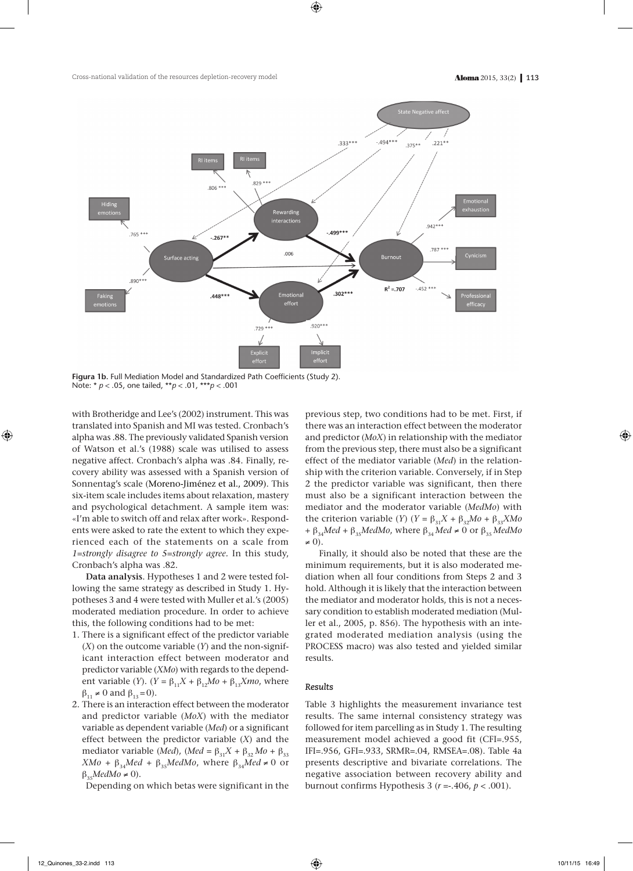

**Figura 1b.** Full Mediation Model and Standardized Path Coefficients (Study 2). Note: \* *p* < .05, one tailed, \*\**p* < .01, \*\*\**p* < .001

with Brotheridge and Lee's (2002) instrument. This was translated into Spanish and MI was tested. Cronbach's alpha was .88. The previously validated Spanish version of Watson et al.'s (1988) scale was utilised to assess negative affect. Cronbach's alpha was .84. Finally, recovery ability was assessed with a Spanish version of Sonnentag's scale (Moreno-Jiménez et al., 2009). This six-item scale includes items about relaxation, mastery and psychological detachment. A sample item was: «I'm able to switch off and relax after work». Respondents were asked to rate the extent to which they experienced each of the statements on a scale from *1=strongly disagree to 5=strongly agree.* In this study, Cronbach's alpha was .82.

**Data analysis**. Hypotheses 1 and 2 were tested following the same strategy as described in Study 1. Hypotheses 3 and 4 were tested with Muller et al.'s (2005) moderated mediation procedure. In order to achieve this, the following conditions had to be met:

- 1. There is a significant effect of the predictor variable (*X*) on the outcome variable (*Y*) and the non-significant interaction effect between moderator and predictor variable (*XMo*) with regards to the dependent variable (*Y*). (*Y* =  $\beta_{11}X + \beta_{12}Mo + \beta_{13}Xmo$ , where  $\beta_{11} \neq 0$  and  $\beta_{12} = 0$ ).
- 2. There is an interaction effect between the moderator and predictor variable (*MoX*) with the mediator variable as dependent variable (*Med*) or a significant effect between the predictor variable (*X*) and the mediator variable (*Med*), (*Med* =  $\beta_{31}X + \beta_{32}Mo + \beta_{33}$  $XMo + \beta_{34}Med + \beta_{35}MedMo$ , where  $\beta_{34}Med \neq 0$  or  $\beta_{35}$ *MedMo*  $\neq$  0).

Depending on which betas were significant in the

previous step, two conditions had to be met. First, if there was an interaction effect between the moderator and predictor (*MoX*) in relationship with the mediator from the previous step, there must also be a significant effect of the mediator variable (*Med*) in the relationship with the criterion variable. Conversely, if in Step 2 the predictor variable was significant, then there must also be a significant interaction between the mediator and the moderator variable (*MedMo*) with the criterion variable (*Y*) (*Y* =  $\beta_{31}X + \beta_{32}Mo + \beta_{33}XMo$ +  $\beta_{34}$ *Med* +  $\beta_{35}$ *MedMo*, where  $\beta_{34}$ *Med* ≠ 0 or  $\beta_{35}$ *MedMo*  $\neq 0$ ).

Finally, it should also be noted that these are the minimum requirements, but it is also moderated mediation when all four conditions from Steps 2 and 3 hold. Although it is likely that the interaction between the mediator and moderator holds, this is not a necessary condition to establish moderated mediation (Muller et al., 2005, p. 856). The hypothesis with an integrated moderated mediation analysis (using the PROCESS macro) was also tested and yielded similar results.

### *Results*

Table 3 highlights the measurement invariance test results. The same internal consistency strategy was followed for item parcelling as in Study 1. The resulting measurement model achieved a good fit (CFI=.955, IFI=.956, GFI=.933, SRMR=.04, RMSEA=.08). Table 4a presents descriptive and bivariate correlations. The negative association between recovery ability and burnout confirms Hypothesis 3 ( $r = -0.406$ ,  $p < 0.001$ ).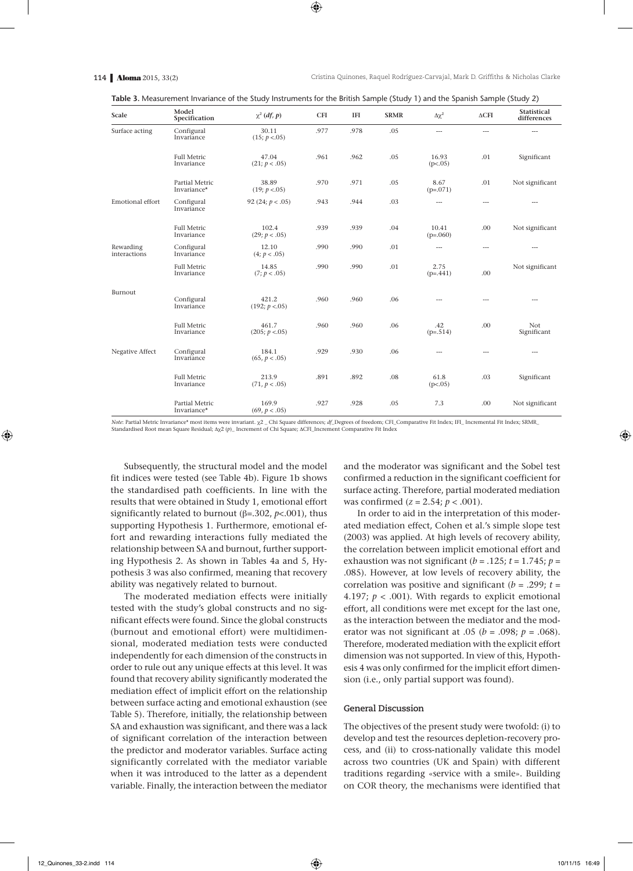| <b>Table 3.</b> Measurement Invariance of the Study Instruments for the British Sample (Study 1) and the Spanish Sample (Study 2) |  |  |  |
|-----------------------------------------------------------------------------------------------------------------------------------|--|--|--|
|-----------------------------------------------------------------------------------------------------------------------------------|--|--|--|

| Scale                     | Model<br>Specification           | $\chi^2$ (df, p)        | <b>CFI</b> | <b>IFI</b> | <b>SRMR</b> | $\Delta\chi^2$      | $\Delta$ CFI   | <b>Statistical</b><br>differences |
|---------------------------|----------------------------------|-------------------------|------------|------------|-------------|---------------------|----------------|-----------------------------------|
| Surface acting            | Configural<br>Invariance         | 30.11<br>(15; p < .05)  | .977       | .978       | .05         | $\cdots$            | $\overline{a}$ | $---$                             |
|                           | <b>Full Metric</b><br>Invariance | 47.04<br>(21; p < .05)  | .961       | .962       | .05         | 16.93<br>(p<.05)    | .01            | Significant                       |
|                           | Partial Metric<br>Invariance*    | 38.89<br>(19; p < .05)  | .970       | .971       | .05         | 8.67<br>$(p=.071)$  | .01            | Not significant                   |
| Emotional effort          | Configural<br>Invariance         | 92 (24; $p < .05$ )     | .943       | .944       | .03         | $\cdots$            | $\overline{a}$ | ---                               |
|                           | <b>Full Metric</b><br>Invariance | 102.4<br>(29; p < .05)  | .939       | .939       | .04         | 10.41<br>$(p=.060)$ | .00            | Not significant                   |
| Rewarding<br>interactions | Configural<br>Invariance         | 12.10<br>(4; p < .05)   | .990       | .990       | .01         | $\cdots$            | ---            | $---$                             |
|                           | <b>Full Metric</b><br>Invariance | 14.85<br>(7; p < .05)   | .990       | .990       | .01         | 2.75<br>$(p=.441)$  | .00            | Not significant                   |
| Burnout                   | Configural<br>Invariance         | 421.2<br>(192; p < .05) | .960       | .960       | .06         | $---$               | ---            | $\cdots$                          |
|                           | <b>Full Metric</b><br>Invariance | 461.7<br>(205; p < .05) | .960       | .960       | .06         | .42<br>$(p=.514)$   | .00            | Not<br>Significant                |
| Negative Affect           | Configural<br>Invariance         | 184.1<br>(65, p < .05)  | .929       | .930       | .06         | ---                 | ---            | ---                               |
|                           | <b>Full Metric</b><br>Invariance | 213.9<br>(71, p < .05)  | .891       | .892       | .08         | 61.8<br>(p<.05)     | .03            | Significant                       |
|                           | Partial Metric<br>Invariance*    | 169.9<br>(69, p < .05)  | .927       | .928       | .05         | 7.3                 | .00            | Not significant                   |

*Note*: Partial Metric Invariance\* most items were invariant.  $\chi^2$  \_ Chi Square differences; *df*\_Degrees of freedom; CFI\_Comparative Fit Index; IFI\_ Incremental Fit Index; SRMR\_ Standardised Root mean Square Residual; Δχ2 (*p*)\_ Increment of Chi Square; ΔCFI\_Increment Comparative Fit Index

Subsequently, the structural model and the model fit indices were tested (see Table 4b). Figure 1b shows the standardised path coefficients. In line with the results that were obtained in Study 1, emotional effort significantly related to burnout (β=.302, *p*<.001), thus supporting Hypothesis 1. Furthermore, emotional effort and rewarding interactions fully mediated the relationship between SA and burnout, further supporting Hypothesis 2. As shown in Tables 4a and 5, Hypothesis 3 was also confirmed, meaning that recovery ability was negatively related to burnout.

The moderated mediation effects were initially tested with the study's global constructs and no significant effects were found. Since the global constructs (burnout and emotional effort) were multidimensional, moderated mediation tests were conducted independently for each dimension of the constructs in order to rule out any unique effects at this level. It was found that recovery ability significantly moderated the mediation effect of implicit effort on the relationship between surface acting and emotional exhaustion (see Table 5). Therefore, initially, the relationship between SA and exhaustion was significant, and there was a lack of significant correlation of the interaction between the predictor and moderator variables. Surface acting significantly correlated with the mediator variable when it was introduced to the latter as a dependent variable. Finally, the interaction between the mediator

and the moderator was significant and the Sobel test confirmed a reduction in the significant coefficient for surface acting. Therefore, partial moderated mediation was confirmed (*z* = 2.54; *p* < .001).

In order to aid in the interpretation of this moderated mediation effect, Cohen et al.'s simple slope test (2003) was applied. At high levels of recovery ability, the correlation between implicit emotional effort and exhaustion was not significant ( $b = .125$ ;  $t = 1.745$ ;  $p =$ .085). However, at low levels of recovery ability, the correlation was positive and significant (*b* = .299; *t* = 4.197;  $p < .001$ ). With regards to explicit emotional effort, all conditions were met except for the last one, as the interaction between the mediator and the moderator was not significant at .05 (*b* = .098; *p* = .068). Therefore, moderated mediation with the explicit effort dimension was not supported. In view of this, Hypothesis 4 was only confirmed for the implicit effort dimension (i.e., only partial support was found).

## **General Discussion**

The objectives of the present study were twofold: (i) to develop and test the resources depletion-recovery process, and (ii) to cross-nationally validate this model across two countries (UK and Spain) with different traditions regarding «service with a smile». Building on COR theory, the mechanisms were identified that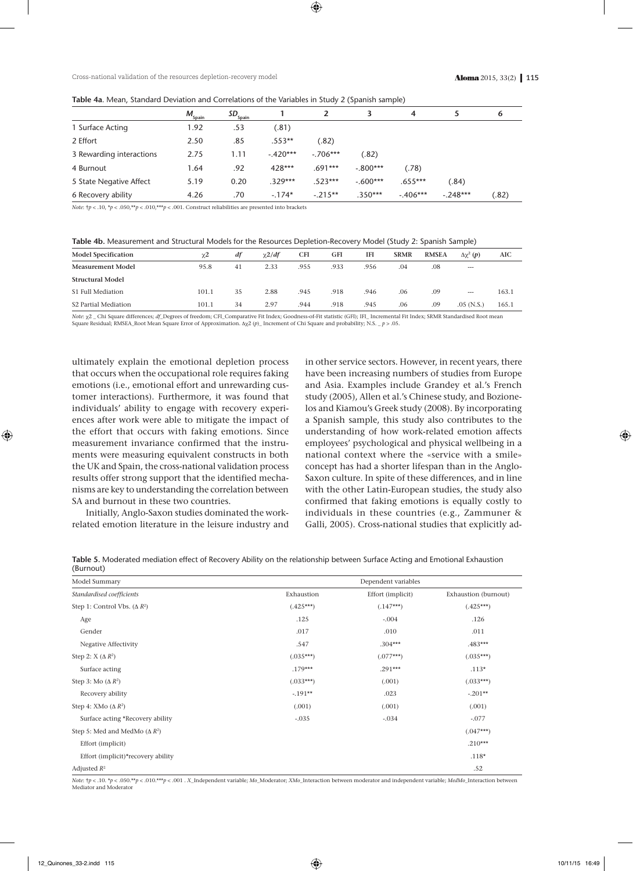| Table 4a. Mean, Standard Deviation and Correlations of the Variables in Study 2 (Spanish sample) |  |  |  |
|--------------------------------------------------------------------------------------------------|--|--|--|
|--------------------------------------------------------------------------------------------------|--|--|--|

|                          | $M_{\underline{\text{Spain}}}$ | $SD_{\frac{Spin}{}}$ |            |            |            | 4          |            | 6     |
|--------------------------|--------------------------------|----------------------|------------|------------|------------|------------|------------|-------|
| 1 Surface Acting         | 1.92                           | .53                  | (.81)      |            |            |            |            |       |
| 2 Effort                 | 2.50                           | .85                  | $.553**$   | (.82)      |            |            |            |       |
| 3 Rewarding interactions | 2.75                           | 1.11                 | $-.420***$ | $-.706***$ | (.82)      |            |            |       |
| 4 Burnout                | .64                            | .92                  | 428***     | .691***    | $-.800***$ | (.78)      |            |       |
| 5 State Negative Affect  | 5.19                           | 0.20                 | $.329***$  | $.523***$  | $-.600***$ | $.655***$  | (.84)      |       |
| 6 Recovery ability       | 4.26                           | .70                  | $-.174*$   | $-.215**$  | $.350***$  | $-.406***$ | $-.248***$ | (.82) |

*Note*:  $\frac{1}{7}p < .10$ ,  $\frac{1}{p} < .050$ ,  $\frac{1}{7}p < .010$ ,  $\frac{1}{7}p < .001$ . Construct reliabilities are presented into brackets

| Table 4b. Measurement and Structural Models for the Resources Depletion-Recovery Model (Study 2: Spanish Sample) |  |  |
|------------------------------------------------------------------------------------------------------------------|--|--|
|                                                                                                                  |  |  |

| 41 | 2.33 | .955 | .933 | .956 | .04 | .08 | $---$        |       |
|----|------|------|------|------|-----|-----|--------------|-------|
|    |      |      |      |      |     |     |              |       |
| 35 | 2.88 | .945 | .918 | .946 | .06 | .09 | $\cdots$     | 163.1 |
| 34 | 2.97 | .944 | .918 | .945 | .06 | .09 | $.05$ (N.S.) | 165.1 |
|    |      |      |      |      |     |     |              |       |

*Note*:  $\chi$ <sub>2</sub> \_ Chi Square differences; *df*\_Degrees of freedom; CFI\_Comparative Fit Index; Goodness-of-Fit statistic (GFI); IFI\_ Incremental Fit Index; SRMR Standardised Root mean Square Residual; RMSEA\_Root Mean Square Error of Approximation.  $\Delta \chi^2(p)$  Increment of Chi Square and probability; N.S. \_ *p* > .05.

ultimately explain the emotional depletion process that occurs when the occupational role requires faking emotions (i.e., emotional effort and unrewarding customer interactions). Furthermore, it was found that individuals' ability to engage with recovery experiences after work were able to mitigate the impact of the effort that occurs with faking emotions. Since measurement invariance confirmed that the instruments were measuring equivalent constructs in both the UK and Spain, the cross-national validation process results offer strong support that the identified mechanisms are key to understanding the correlation between SA and burnout in these two countries.

Initially, Anglo-Saxon studies dominated the workrelated emotion literature in the leisure industry and in other service sectors. However, in recent years, there have been increasing numbers of studies from Europe and Asia. Examples include Grandey et al.'s French study (2005), Allen et al.'s Chinese study, and Bozionelos and Kiamou's Greek study (2008). By incorporating a Spanish sample, this study also contributes to the understanding of how work-related emotion affects employees' psychological and physical wellbeing in a national context where the «service with a smile» concept has had a shorter lifespan than in the Anglo-Saxon culture. In spite of these differences, and in line with the other Latin-European studies, the study also confirmed that faking emotions is equally costly to individuals in these countries (e.g., Zammuner & Galli, 2005). Cross-national studies that explicitly ad-

**Table 5.** Moderated mediation effect of Recovery Ability on the relationship between Surface Acting and Emotional Exhaustion (Burnout)

| Model Summary                        |             | Dependent variables |                      |  |  |  |  |  |
|--------------------------------------|-------------|---------------------|----------------------|--|--|--|--|--|
| Standardised coefficients            | Exhaustion  | Effort (implicit)   | Exhaustion (burnout) |  |  |  |  |  |
| Step 1: Control Vbs. $(\Delta R^2)$  | $(.425***)$ | $(.147***)$         | $(.425***)$          |  |  |  |  |  |
| Age                                  | .125        | $-.004$             | .126                 |  |  |  |  |  |
| Gender                               | .017        | .010                | .011                 |  |  |  |  |  |
| Negative Affectivity                 | .547        | $.304***$           | $.483***$            |  |  |  |  |  |
| Step 2: $X(\Delta R^2)$              | $(.035***)$ | $(.077***)$         | $(.035***)$          |  |  |  |  |  |
| Surface acting                       | $.179***$   | $.291***$           | $.113*$              |  |  |  |  |  |
| Step 3: Mo $(\Delta R^2)$            | $(.033***)$ | (.001)              | $(.033***)$          |  |  |  |  |  |
| Recovery ability                     | $-.191**$   | .023                | $-.201**$            |  |  |  |  |  |
| Step 4: XMo $(\Delta R^2)$           | (.001)      | (.001)              | (.001)               |  |  |  |  |  |
| Surface acting *Recovery ability     | $-.035$     | $-.034$             | $-.077$              |  |  |  |  |  |
| Step 5: Med and MedMo $(\Delta R^2)$ |             |                     | $(.047***)$          |  |  |  |  |  |
| Effort (implicit)                    |             |                     | $.210***$            |  |  |  |  |  |
| Effort (implicit)*recovery ability   |             |                     | $.118*$              |  |  |  |  |  |
| Adjusted $R^2$                       |             |                     | .52                  |  |  |  |  |  |

Note:  $\frac{1}{10}$  < .050,\*p < .050,\*\*p < .010,\*\*\*p < .001, X Independent variable; Mo Moderator; XMo Interaction between moderator and independent variable; MedMo Interaction between Mediator and Moderator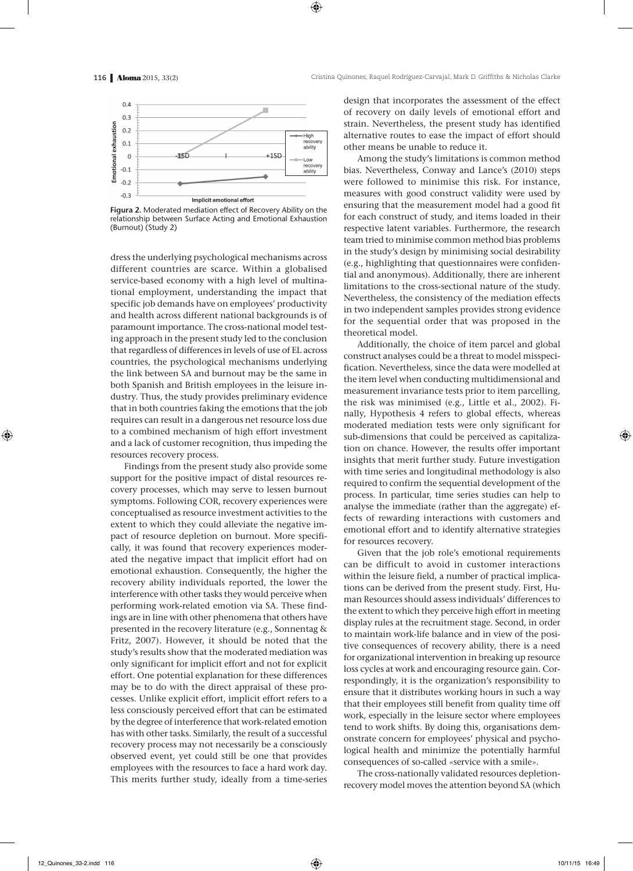

**Figura 2.** Moderated mediation effect of Recovery Ability on the relationship between Surface Acting and Emotional Exhaustion (Burnout) (Study 2)

dress the underlying psychological mechanisms across different countries are scarce. Within a globalised service-based economy with a high level of multinational employment, understanding the impact that specific job demands have on employees' productivity and health across different national backgrounds is of paramount importance. The cross-national model testing approach in the present study led to the conclusion that regardless of differences in levels of use of EL across countries, the psychological mechanisms underlying the link between SA and burnout may be the same in both Spanish and British employees in the leisure industry. Thus, the study provides preliminary evidence that in both countries faking the emotions that the job requires can result in a dangerous net resource loss due to a combined mechanism of high effort investment and a lack of customer recognition, thus impeding the resources recovery process.

Findings from the present study also provide some support for the positive impact of distal resources recovery processes, which may serve to lessen burnout symptoms. Following COR, recovery experiences were conceptualised as resource investment activities to the extent to which they could alleviate the negative impact of resource depletion on burnout. More specifically, it was found that recovery experiences moderated the negative impact that implicit effort had on emotional exhaustion. Consequently, the higher the recovery ability individuals reported, the lower the interference with other tasks they would perceive when performing work-related emotion via SA. These findings are in line with other phenomena that others have presented in the recovery literature (e.g., Sonnentag & Fritz, 2007). However, it should be noted that the study's results show that the moderated mediation was only significant for implicit effort and not for explicit effort. One potential explanation for these differences may be to do with the direct appraisal of these processes. Unlike explicit effort, implicit effort refers to a less consciously perceived effort that can be estimated by the degree of interference that work-related emotion has with other tasks. Similarly, the result of a successful recovery process may not necessarily be a consciously observed event, yet could still be one that provides employees with the resources to face a hard work day. This merits further study, ideally from a time-series design that incorporates the assessment of the effect of recovery on daily levels of emotional effort and strain. Nevertheless, the present study has identified alternative routes to ease the impact of effort should other means be unable to reduce it.

Among the study's limitations is common method bias. Nevertheless, Conway and Lance's (2010) steps were followed to minimise this risk. For instance, measures with good construct validity were used by ensuring that the measurement model had a good fit for each construct of study, and items loaded in their respective latent variables. Furthermore, the research team tried to minimise common method bias problems in the study's design by minimising social desirability (e.g., highlighting that questionnaires were confidential and anonymous). Additionally, there are inherent limitations to the cross-sectional nature of the study. Nevertheless, the consistency of the mediation effects in two independent samples provides strong evidence for the sequential order that was proposed in the theoretical model.

Additionally, the choice of item parcel and global construct analyses could be a threat to model misspecification. Nevertheless, since the data were modelled at the item level when conducting multidimensional and measurement invariance tests prior to item parcelling, the risk was minimised (e.g., Little et al., 2002). Finally, Hypothesis 4 refers to global effects, whereas moderated mediation tests were only significant for sub-dimensions that could be perceived as capitalization on chance. However, the results offer important insights that merit further study. Future investigation with time series and longitudinal methodology is also required to confirm the sequential development of the process. In particular, time series studies can help to analyse the immediate (rather than the aggregate) effects of rewarding interactions with customers and emotional effort and to identify alternative strategies for resources recovery.

Given that the job role's emotional requirements can be difficult to avoid in customer interactions within the leisure field, a number of practical implications can be derived from the present study. First, Human Resources should assess individuals' differences to the extent to which they perceive high effort in meeting display rules at the recruitment stage. Second, in order to maintain work-life balance and in view of the positive consequences of recovery ability, there is a need for organizational intervention in breaking up resource loss cycles at work and encouraging resource gain. Correspondingly, it is the organization's responsibility to ensure that it distributes working hours in such a way that their employees still benefit from quality time off work, especially in the leisure sector where employees tend to work shifts. By doing this, organisations demonstrate concern for employees' physical and psychological health and minimize the potentially harmful consequences of so-called «service with a smile».

The cross-nationally validated resources depletionrecovery model moves the attention beyond SA (which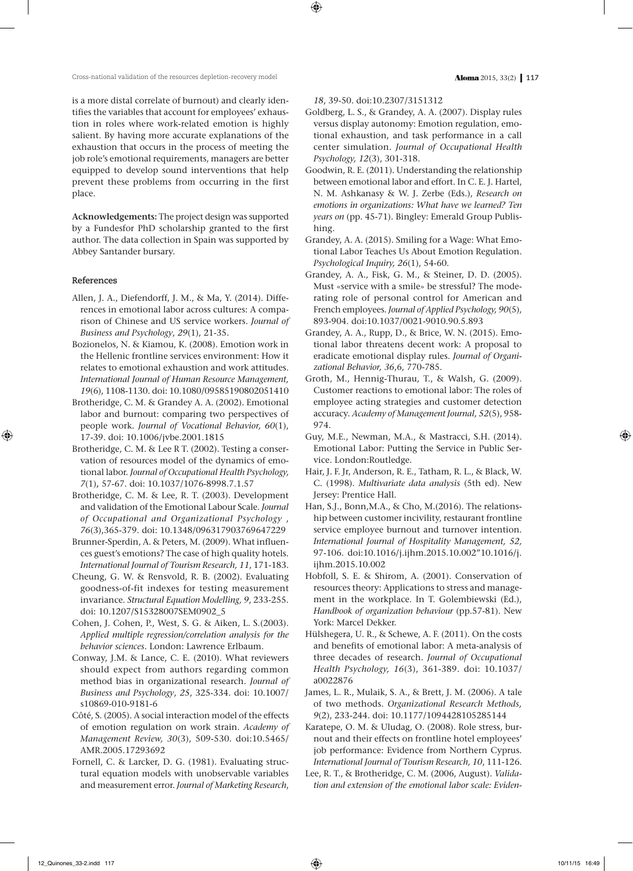is a more distal correlate of burnout) and clearly identifies the variables that account for employees' exhaustion in roles where work-related emotion is highly salient. By having more accurate explanations of the exhaustion that occurs in the process of meeting the job role's emotional requirements, managers are better equipped to develop sound interventions that help prevent these problems from occurring in the first place.

**Acknowledgements:** The project design was supported by a Fundesfor PhD scholarship granted to the first author. The data collection in Spain was supported by Abbey Santander bursary.

## **References**

- Allen, J. A., Diefendorff, J. M., & Ma, Y. (2014). Differences in emotional labor across cultures: A comparison of Chinese and US service workers. *Journal of Business and Psychology*, *29*(1), 21-35.
- Bozionelos, N. & Kiamou, K. (2008). Emotion work in the Hellenic frontline services environment: How it relates to emotional exhaustion and work attitudes. *International Journal of Human Resource Management, 19*(6), 1108-1130. doi: 10.1080/09585190802051410
- Brotheridge, C. M. & Grandey A. A. (2002). Emotional labor and burnout: comparing two perspectives of people work. *Journal of Vocational Behavior, 60*(1), 17-39. doi: 10.1006/jvbe.2001.1815
- Brotheridge, C. M. & Lee R T. (2002). Testing a conservation of resources model of the dynamics of emotional labor. *Journal of Occupational Health Psychology, 7*(1)**,** 57-67. doi: 10.1037/1076-8998.7.1.57
- Brotheridge, C. M. & Lee, R. T. (2003). Development and validation of the Emotional Labour Scale. *Journal of Occupational and Organizational Psychology* , *76*(3),365-379. doi: 10.1348/096317903769647229
- Brunner-Sperdin, A. & Peters, M. (2009). What influences guest's emotions? The case of high quality hotels. *International Journal of Tourism Research, 11*, 171-183.
- Cheung, G. W. & Rensvold, R. B. (2002). Evaluating goodness-of-fit indexes for testing measurement invariance. *Structural Equation Modelling, 9*, 233-255. doi: 10.1207/S15328007SEM0902\_5
- Cohen, J. Cohen, P., West, S. G. & Aiken, L. S.(2003). *Applied multiple regression/correlation analysis for the behavior sciences.* London: Lawrence Erlbaum.
- Conway, J.M. & Lance, C. E. (2010). What reviewers should expect from authors regarding common method bias in organizational research. *Journal of Business and Psychology*, *25*, 325-334. doi: 10.1007/ s10869-010-9181-6
- Côté, S. (2005). A social interaction model of the effects of emotion regulation on work strain. *Academy of Management Review, 30*(3), 509-530. doi:10.5465/ AMR.2005.17293692
- Fornell, C. & Larcker, D. G. (1981). Evaluating structural equation models with unobservable variables and measurement error. *Journal of Marketing Research*,

*18*, 39-50. doi:10.2307/3151312

- Goldberg, L. S., & Grandey, A. A. (2007). Display rules versus display autonomy: Emotion regulation, emotional exhaustion, and task performance in a call center simulation. *Journal of Occupational Health Psychology, 12*(3), 301-318.
- Goodwin, R. E. (2011). Understanding the relationship between emotional labor and effort. In C. E. J. Hartel, N. M. Ashkanasy & W. J. Zerbe (Eds.), *Research on emotions in organizations: What have we learned? Ten years on* (pp. 45-71). Bingley: Emerald Group Publishing.
- Grandey, A. A. (2015). Smiling for a Wage: What Emotional Labor Teaches Us About Emotion Regulation. *Psychological Inquiry, 26*(1), 54-60.
- Grandey, A. A., Fisk, G. M., & Steiner, D. D. (2005). Must «service with a smile» be stressful? The moderating role of personal control for American and French employees. *Journal of Applied Psychology, 90*(5), 893-904. doi:10.1037/0021-9010.90.5.893
- Grandey, A. A., Rupp, D., & Brice, W. N. (2015). Emotional labor threatens decent work: A proposal to eradicate emotional display rules. *Journal of Organizational Behavior, 36*,6, 770-785.
- Groth, M., Hennig-Thurau, T., & Walsh, G. (2009). Customer reactions to emotional labor: The roles of employee acting strategies and customer detection accuracy. *Academy of Management Journal, 52*(5), 958- 974.
- Guy, M.E., Newman, M.A., & Mastracci, S.H. (2014). Emotional Labor: Putting the Service in Public Service. London:Routledge.
- Hair, J. F. Jr, Anderson, R. E., Tatham, R. L., & Black, W. C. (1998). *Multivariate data analysis* (5th ed). New Jersey: Prentice Hall.
- Han, S.J., Bonn,M.A., & Cho, M.(2016). The relationship between customer incivility, restaurant frontline service employee burnout and turnover intention. *International Journal of Hospitality Management, 52,* 97-106. doi:10.1016/j.ijhm.2015.10.002"10.1016/j. ijhm.2015.10.002
- Hobfoll, S. E. & Shirom, A. (2001). Conservation of resources theory: Applications to stress and management in the workplace. In T. Golembiewski (Ed.), *Handbook of organization behaviour* (pp.57-81). New York: Marcel Dekker.
- Hülshegera, U. R., & Schewe, A. F. (2011). On the costs and benefits of emotional labor: A meta-analysis of three decades of research. *Journal of Occupational Health Psychology, 16*(3), 361-389. doi: 10.1037/ a0022876
- James, L. R., Mulaik, S. A., & Brett, J. M. (2006). A tale of two methods. *Organizational Research Methods, 9*(2), 233-244. doi: 10.1177/1094428105285144
- Karatepe, O. M. & Uludag, O. (2008). Role stress, burnout and their effects on frontline hotel employees' job performance: Evidence from Northern Cyprus. *International Journal of Tourism Research, 10*, 111-126*.*
- Lee, R. T., & Brotheridge, C. M. (2006, August). *Validation and extension of the emotional labor scale: Eviden-*